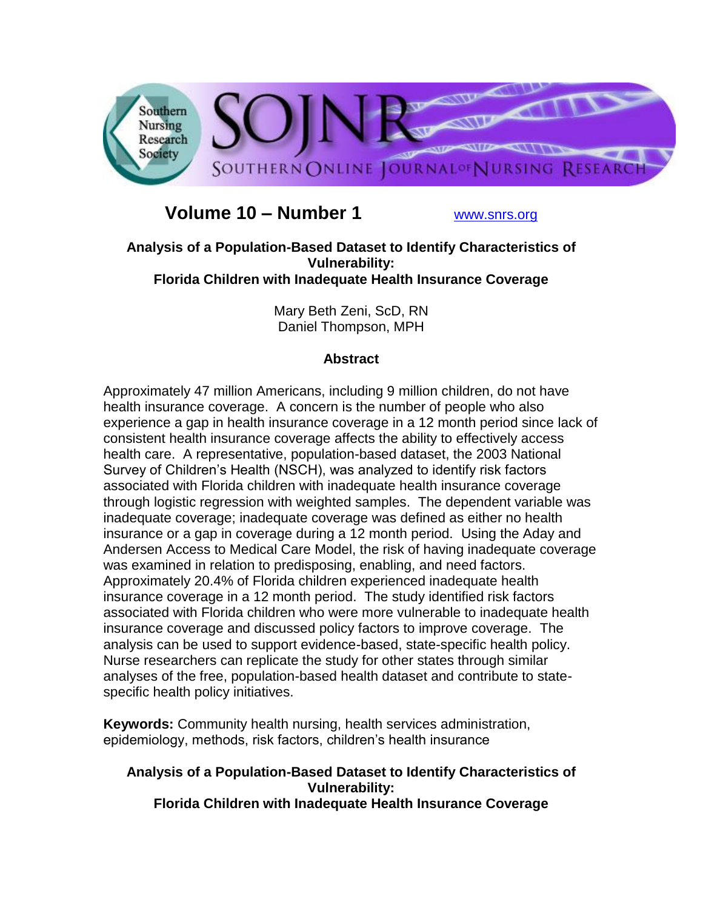

# **Volume 10 – Number 1** [www.snrs.org](http://www.snrs.org/)

## **Analysis of a Population-Based Dataset to Identify Characteristics of Vulnerability: Florida Children with Inadequate Health Insurance Coverage**

Mary Beth Zeni, ScD, RN Daniel Thompson, MPH

# **Abstract**

Approximately 47 million Americans, including 9 million children, do not have health insurance coverage. A concern is the number of people who also experience a gap in health insurance coverage in a 12 month period since lack of consistent health insurance coverage affects the ability to effectively access health care. A representative, population-based dataset, the 2003 National Survey of Children"s Health (NSCH), was analyzed to identify risk factors associated with Florida children with inadequate health insurance coverage through logistic regression with weighted samples. The dependent variable was inadequate coverage; inadequate coverage was defined as either no health insurance or a gap in coverage during a 12 month period. Using the Aday and Andersen Access to Medical Care Model, the risk of having inadequate coverage was examined in relation to predisposing, enabling, and need factors. Approximately 20.4% of Florida children experienced inadequate health insurance coverage in a 12 month period. The study identified risk factors associated with Florida children who were more vulnerable to inadequate health insurance coverage and discussed policy factors to improve coverage. The analysis can be used to support evidence-based, state-specific health policy. Nurse researchers can replicate the study for other states through similar analyses of the free, population-based health dataset and contribute to statespecific health policy initiatives.

**Keywords:** Community health nursing, health services administration, epidemiology, methods, risk factors, children"s health insurance

# **Analysis of a Population-Based Dataset to Identify Characteristics of Vulnerability:**

**Florida Children with Inadequate Health Insurance Coverage**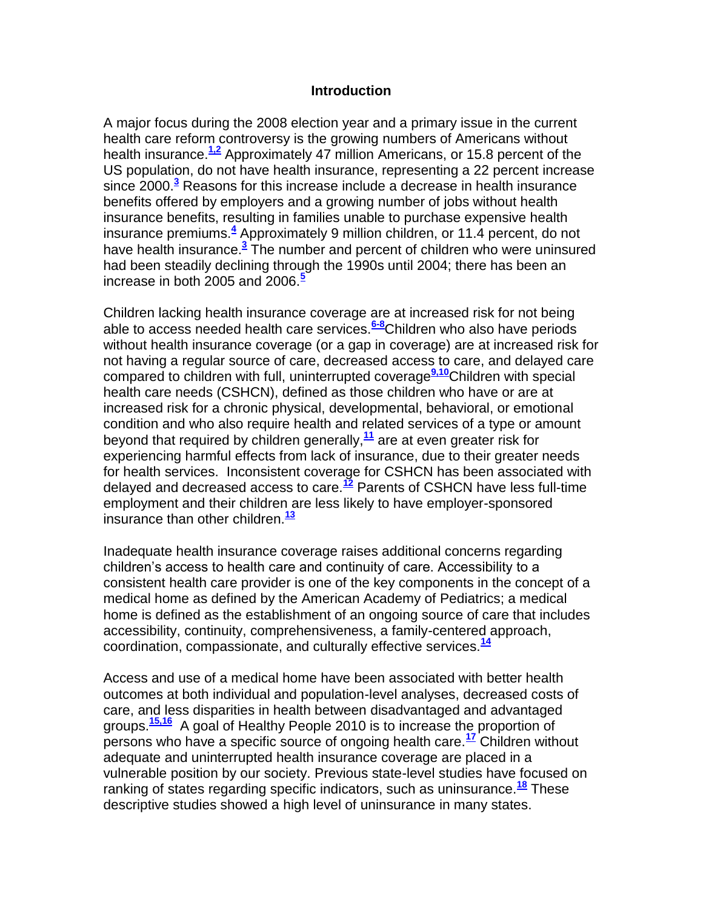#### **Introduction**

A major focus during the 2008 election year and a primary issue in the current health care reform controversy is the growing numbers of Americans without health insurance.**[1,2](http://snrs.org/publications/SOJNR_articles2/n)** Approximately 47 million Americans, or 15.8 percent of the US population, do not have health insurance, representing a 22 percent increase since 2000.**[3](http://snrs.org/publications/SOJNR_articles2/n)** Reasons for this increase include a decrease in health insurance benefits offered by employers and a growing number of jobs without health insurance benefits, resulting in families unable to purchase expensive health insurance premiums.**[4](http://snrs.org/publications/SOJNR_articles2/n)** Approximately 9 million children, or 11.4 percent, do not have health insurance[.](http://snrs.org/publications/SOJNR_articles2/n)**<sup>3</sup>** The number and percent of children who were uninsured had been steadily declining through the 1990s until 2004; there has been an increase in both 2005 and 2006.**[5](http://snrs.org/publications/SOJNR_articles2/n)**

Children lacking health insurance coverage are at increased risk for not being able to access needed health care services.**[6-8](http://snrs.org/publications/SOJNR_articles2/n)**Children who also have periods without health insurance coverage (or a gap in coverage) are at increased risk for not having a regular source of care, decreased access to care, and delayed care compared to children with full, uninterrupted coverage**[9,10](http://snrs.org/publications/SOJNR_articles2/n)**Children with special health care needs (CSHCN), defined as those children who have or are at increased risk for a chronic physical, developmental, behavioral, or emotional condition and who also require health and related services of a type or amount beyond that required by children generally,**[11](http://snrs.org/publications/SOJNR_articles2/n)** are at even greater risk for experiencing harmful effects from lack of insurance, due to their greater needs for health services. Inconsistent coverage for CSHCN has been associated with delayed and decreased access to care.**[12](http://snrs.org/publications/SOJNR_articles2/n)** Parents of CSHCN have less full-time employment and their children are less likely to have employer-sponsored insurance than other children.**[13](http://snrs.org/publications/SOJNR_articles2/n)**

Inadequate health insurance coverage raises additional concerns regarding children"s access to health care and continuity of care. Accessibility to a consistent health care provider is one of the key components in the concept of a medical home as defined by the American Academy of Pediatrics; a medical home is defined as the establishment of an ongoing source of care that includes accessibility, continuity, comprehensiveness, a family-centered approach, coordination, compassionate, and culturally effective services.**[14](http://snrs.org/publications/SOJNR_articles2/n)**

Access and use of a medical home have been associated with better health outcomes at both individual and population-level analyses, decreased costs of care, and less disparities in health between disadvantaged and advantaged groups.**[15,16](http://snrs.org/publications/SOJNR_articles2/n)** A goal of Healthy People 2010 is to increase the proportion of persons who have a specific source of ongoing health care.**[17](http://snrs.org/publications/SOJNR_articles2/n)** Children without adequate and uninterrupted health insurance coverage are placed in a vulnerable position by our society. Previous state-level studies have focused on ranking of states regarding specific indicators, such as uninsurance.**[18](http://snrs.org/publications/SOJNR_articles2/n)** These descriptive studies showed a high level of uninsurance in many states.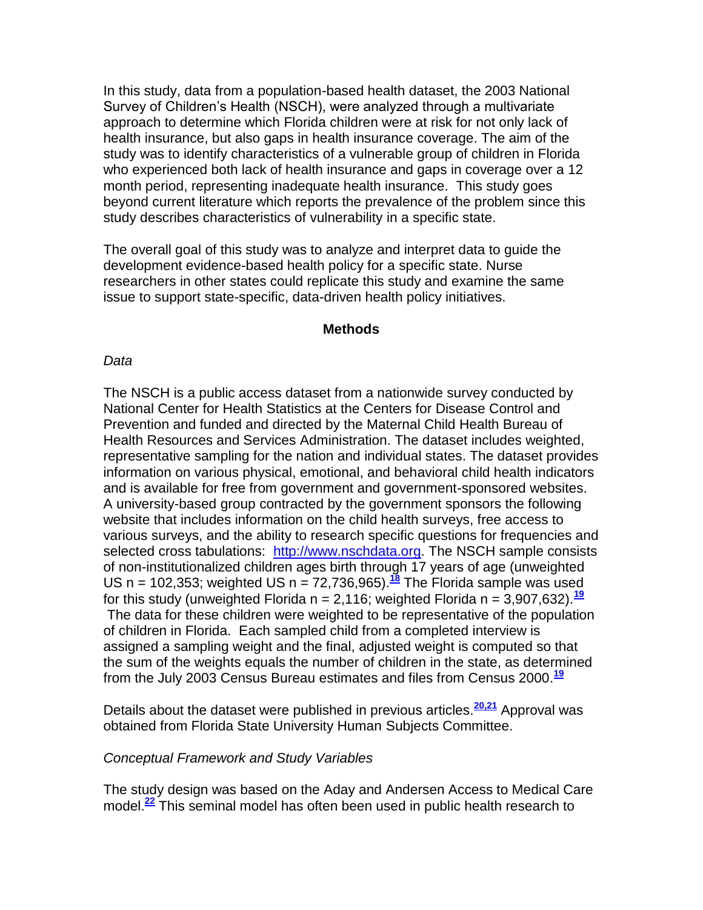In this study, data from a population-based health dataset, the 2003 National Survey of Children"s Health (NSCH), were analyzed through a multivariate approach to determine which Florida children were at risk for not only lack of health insurance, but also gaps in health insurance coverage. The aim of the study was to identify characteristics of a vulnerable group of children in Florida who experienced both lack of health insurance and gaps in coverage over a 12 month period, representing inadequate health insurance. This study goes beyond current literature which reports the prevalence of the problem since this study describes characteristics of vulnerability in a specific state.

The overall goal of this study was to analyze and interpret data to guide the development evidence-based health policy for a specific state. Nurse researchers in other states could replicate this study and examine the same issue to support state-specific, data-driven health policy initiatives.

#### **Methods**

#### *Data*

The NSCH is a public access dataset from a nationwide survey conducted by National Center for Health Statistics at the Centers for Disease Control and Prevention and funded and directed by the Maternal Child Health Bureau of Health Resources and Services Administration. The dataset includes weighted, representative sampling for the nation and individual states. The dataset provides information on various physical, emotional, and behavioral child health indicators and is available for free from government and government-sponsored websites. A university-based group contracted by the government sponsors the following website that includes information on the child health surveys, free access to various surveys, and the ability to research specific questions for frequencies and selected cross tabulations: [http://www.nschdata.org.](http://www.nschdata.org/) The NSCH sample consists of non-institutionalized children ages birth through 17 years of age (unweighted US n = 102,353; weighted US n = 72,736,965).**[18](http://snrs.org/publications/SOJNR_articles2/n)** The Florida sample was used for this study (unweighted Florida  $n = 2,116$ ; weighted Florida  $n = 3,907,632$ ).<sup>[19](http://snrs.org/publications/SOJNR_articles2/n)</sup> The data for these children were weighted to be representative of the population of children in Florida. Each sampled child from a completed interview is assigned a sampling weight and the final, adjusted weight is computed so that the sum of the weights equals the number of children in the state, as determined from the July 2003 Census Bureau estimates and files from Census 2000. **[19](http://snrs.org/publications/SOJNR_articles2/n)**

Details about the dataset were published in previous articles.**[20,21](http://snrs.org/publications/SOJNR_articles2/n)** Approval was obtained from Florida State University Human Subjects Committee.

#### *Conceptual Framework and Study Variables*

The study design was based on the Aday and Andersen Access to Medical Care model.**[22](http://snrs.org/publications/SOJNR_articles2/n)** This seminal model has often been used in public health research to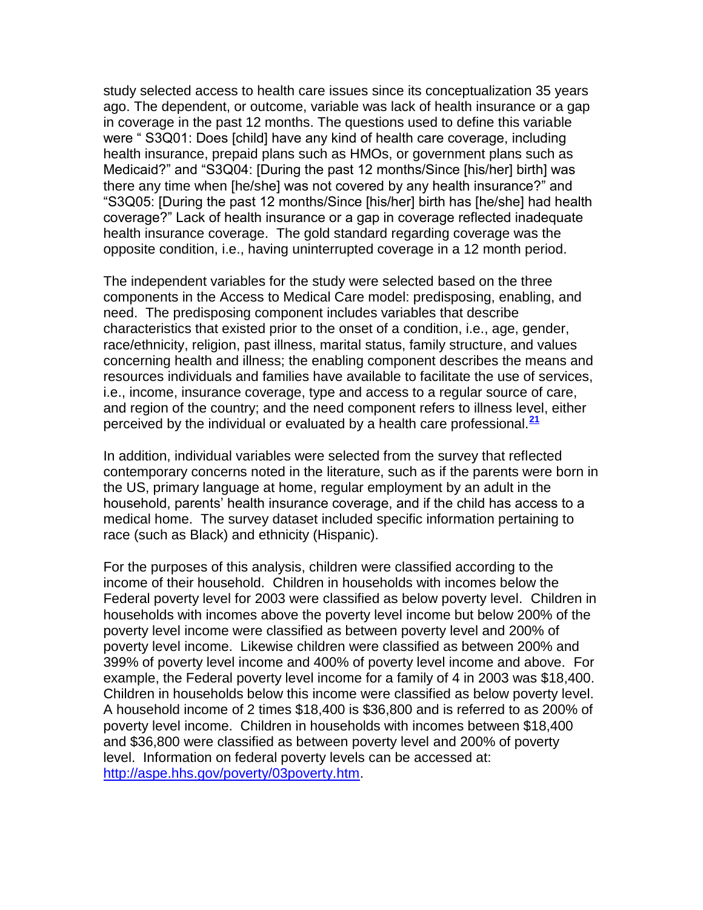study selected access to health care issues since its conceptualization 35 years ago. The dependent, or outcome, variable was lack of health insurance or a gap in coverage in the past 12 months. The questions used to define this variable were " S3Q01: Does [child] have any kind of health care coverage, including health insurance, prepaid plans such as HMOs, or government plans such as Medicaid?" and "S3Q04: [During the past 12 months/Since [his/her] birth] was there any time when [he/she] was not covered by any health insurance?" and "S3Q05: [During the past 12 months/Since [his/her] birth has [he/she] had health coverage?" Lack of health insurance or a gap in coverage reflected inadequate health insurance coverage. The gold standard regarding coverage was the opposite condition, i.e., having uninterrupted coverage in a 12 month period.

The independent variables for the study were selected based on the three components in the Access to Medical Care model: predisposing, enabling, and need. The predisposing component includes variables that describe characteristics that existed prior to the onset of a condition, i.e., age, gender, race/ethnicity, religion, past illness, marital status, family structure, and values concerning health and illness; the enabling component describes the means and resources individuals and families have available to facilitate the use of services, i.e., income, insurance coverage, type and access to a regular source of care, and region of the country; and the need component refers to illness level, either perceived by the individual or evaluated by a health care professional.**[21](http://snrs.org/publications/SOJNR_articles2/n)**

In addition, individual variables were selected from the survey that reflected contemporary concerns noted in the literature, such as if the parents were born in the US, primary language at home, regular employment by an adult in the household, parents' health insurance coverage, and if the child has access to a medical home. The survey dataset included specific information pertaining to race (such as Black) and ethnicity (Hispanic).

For the purposes of this analysis, children were classified according to the income of their household. Children in households with incomes below the Federal poverty level for 2003 were classified as below poverty level. Children in households with incomes above the poverty level income but below 200% of the poverty level income were classified as between poverty level and 200% of poverty level income. Likewise children were classified as between 200% and 399% of poverty level income and 400% of poverty level income and above. For example, the Federal poverty level income for a family of 4 in 2003 was \$18,400. Children in households below this income were classified as below poverty level. A household income of 2 times \$18,400 is \$36,800 and is referred to as 200% of poverty level income. Children in households with incomes between \$18,400 and \$36,800 were classified as between poverty level and 200% of poverty level. Information on federal poverty levels can be accessed at: [http://aspe.hhs.gov/poverty/03poverty.htm.](http://aspe.hhs.gov/poverty/03poverty.htm)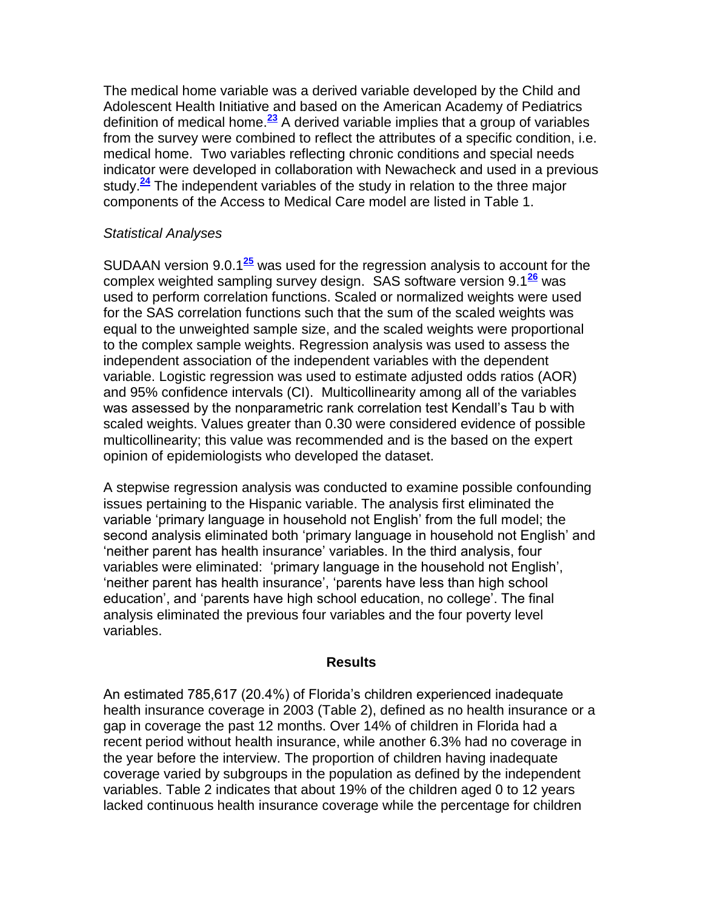The medical home variable was a derived variable developed by the Child and Adolescent Health Initiative and based on the American Academy of Pediatrics definition of medical home.**[23](http://snrs.org/publications/SOJNR_articles2/n)** A derived variable implies that a group of variables from the survey were combined to reflect the attributes of a specific condition, i.e. medical home. Two variables reflecting chronic conditions and special needs indicator were developed in collaboration with Newacheck and used in a previous study.**[24](http://snrs.org/publications/SOJNR_articles2/n)** The independent variables of the study in relation to the three major components of the Access to Medical Care model are listed in Table 1.

## *Statistical Analyses*

SUDAAN version 9.0.1**[25](http://snrs.org/publications/SOJNR_articles2/n)** was used for the regression analysis to account for the complex weighted sampling survey design. SAS software version 9.1**[26](http://snrs.org/publications/SOJNR_articles2/n)** was used to perform correlation functions. Scaled or normalized weights were used for the SAS correlation functions such that the sum of the scaled weights was equal to the unweighted sample size, and the scaled weights were proportional to the complex sample weights. Regression analysis was used to assess the independent association of the independent variables with the dependent variable. Logistic regression was used to estimate adjusted odds ratios (AOR) and 95% confidence intervals (CI). Multicollinearity among all of the variables was assessed by the nonparametric rank correlation test Kendall"s Tau b with scaled weights. Values greater than 0.30 were considered evidence of possible multicollinearity; this value was recommended and is the based on the expert opinion of epidemiologists who developed the dataset.

A stepwise regression analysis was conducted to examine possible confounding issues pertaining to the Hispanic variable. The analysis first eliminated the variable "primary language in household not English" from the full model; the second analysis eliminated both "primary language in household not English" and "neither parent has health insurance" variables. In the third analysis, four variables were eliminated: "primary language in the household not English", "neither parent has health insurance", "parents have less than high school education", and "parents have high school education, no college". The final analysis eliminated the previous four variables and the four poverty level variables.

## **Results**

An estimated 785,617 (20.4%) of Florida"s children experienced inadequate health insurance coverage in 2003 (Table 2), defined as no health insurance or a gap in coverage the past 12 months. Over 14% of children in Florida had a recent period without health insurance, while another 6.3% had no coverage in the year before the interview. The proportion of children having inadequate coverage varied by subgroups in the population as defined by the independent variables. Table 2 indicates that about 19% of the children aged 0 to 12 years lacked continuous health insurance coverage while the percentage for children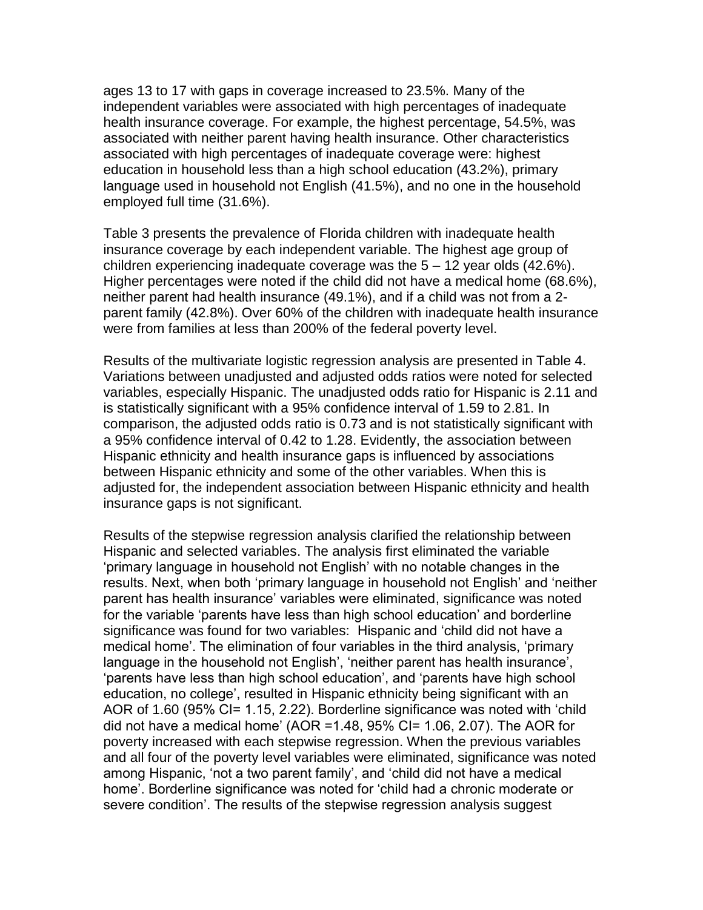ages 13 to 17 with gaps in coverage increased to 23.5%. Many of the independent variables were associated with high percentages of inadequate health insurance coverage. For example, the highest percentage, 54.5%, was associated with neither parent having health insurance. Other characteristics associated with high percentages of inadequate coverage were: highest education in household less than a high school education (43.2%), primary language used in household not English (41.5%), and no one in the household employed full time (31.6%).

Table 3 presents the prevalence of Florida children with inadequate health insurance coverage by each independent variable. The highest age group of children experiencing inadequate coverage was the 5 – 12 year olds (42.6%). Higher percentages were noted if the child did not have a medical home (68.6%), neither parent had health insurance (49.1%), and if a child was not from a 2 parent family (42.8%). Over 60% of the children with inadequate health insurance were from families at less than 200% of the federal poverty level.

Results of the multivariate logistic regression analysis are presented in Table 4. Variations between unadjusted and adjusted odds ratios were noted for selected variables, especially Hispanic. The unadjusted odds ratio for Hispanic is 2.11 and is statistically significant with a 95% confidence interval of 1.59 to 2.81. In comparison, the adjusted odds ratio is 0.73 and is not statistically significant with a 95% confidence interval of 0.42 to 1.28. Evidently, the association between Hispanic ethnicity and health insurance gaps is influenced by associations between Hispanic ethnicity and some of the other variables. When this is adjusted for, the independent association between Hispanic ethnicity and health insurance gaps is not significant.

Results of the stepwise regression analysis clarified the relationship between Hispanic and selected variables. The analysis first eliminated the variable "primary language in household not English" with no notable changes in the results. Next, when both "primary language in household not English" and "neither parent has health insurance" variables were eliminated, significance was noted for the variable "parents have less than high school education" and borderline significance was found for two variables: Hispanic and "child did not have a medical home". The elimination of four variables in the third analysis, "primary language in the household not English', 'neither parent has health insurance', "parents have less than high school education", and "parents have high school education, no college', resulted in Hispanic ethnicity being significant with an AOR of 1.60 (95% CI= 1.15, 2.22). Borderline significance was noted with 'child did not have a medical home' (AOR = 1.48, 95% CI= 1.06, 2.07). The AOR for poverty increased with each stepwise regression. When the previous variables and all four of the poverty level variables were eliminated, significance was noted among Hispanic, "not a two parent family", and "child did not have a medical home". Borderline significance was noted for "child had a chronic moderate or severe condition'. The results of the stepwise regression analysis suggest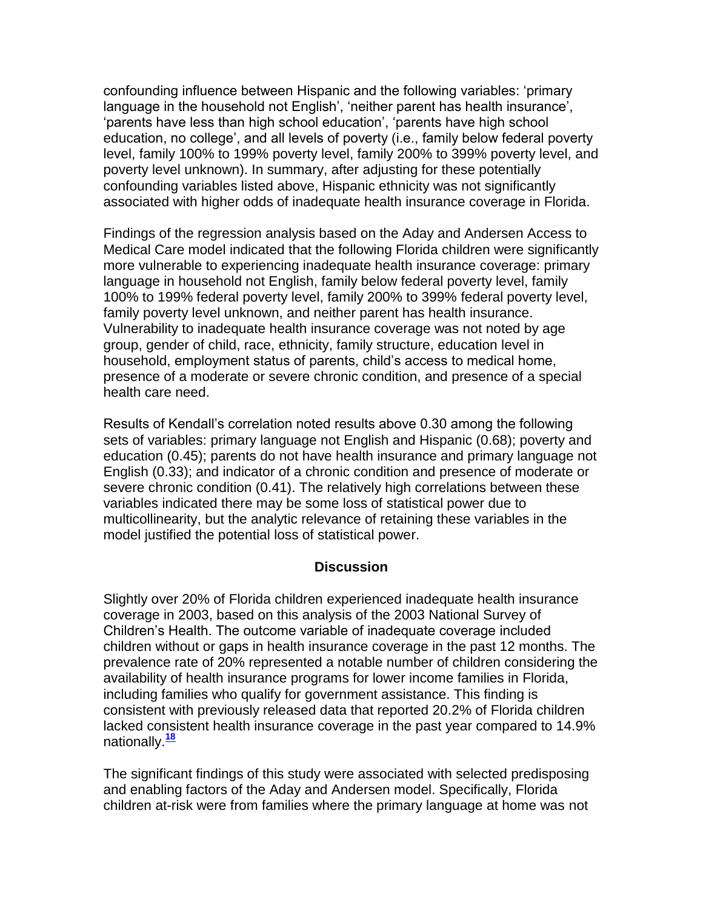confounding influence between Hispanic and the following variables: "primary language in the household not English', 'neither parent has health insurance', "parents have less than high school education", "parents have high school education, no college", and all levels of poverty (i.e., family below federal poverty level, family 100% to 199% poverty level, family 200% to 399% poverty level, and poverty level unknown). In summary, after adjusting for these potentially confounding variables listed above, Hispanic ethnicity was not significantly associated with higher odds of inadequate health insurance coverage in Florida.

Findings of the regression analysis based on the Aday and Andersen Access to Medical Care model indicated that the following Florida children were significantly more vulnerable to experiencing inadequate health insurance coverage: primary language in household not English, family below federal poverty level, family 100% to 199% federal poverty level, family 200% to 399% federal poverty level, family poverty level unknown, and neither parent has health insurance. Vulnerability to inadequate health insurance coverage was not noted by age group, gender of child, race, ethnicity, family structure, education level in household, employment status of parents, child"s access to medical home, presence of a moderate or severe chronic condition, and presence of a special health care need.

Results of Kendall"s correlation noted results above 0.30 among the following sets of variables: primary language not English and Hispanic (0.68); poverty and education (0.45); parents do not have health insurance and primary language not English (0.33); and indicator of a chronic condition and presence of moderate or severe chronic condition (0.41). The relatively high correlations between these variables indicated there may be some loss of statistical power due to multicollinearity, but the analytic relevance of retaining these variables in the model justified the potential loss of statistical power.

## **Discussion**

Slightly over 20% of Florida children experienced inadequate health insurance coverage in 2003, based on this analysis of the 2003 National Survey of Children"s Health. The outcome variable of inadequate coverage included children without or gaps in health insurance coverage in the past 12 months. The prevalence rate of 20% represented a notable number of children considering the availability of health insurance programs for lower income families in Florida, including families who qualify for government assistance. This finding is consistent with previously released data that reported 20.2% of Florida children lacked consistent health insurance coverage in the past year compared to 14.9% nationally.**[18](http://snrs.org/publications/SOJNR_articles2/n)**

The significant findings of this study were associated with selected predisposing and enabling factors of the Aday and Andersen model. Specifically, Florida children at-risk were from families where the primary language at home was not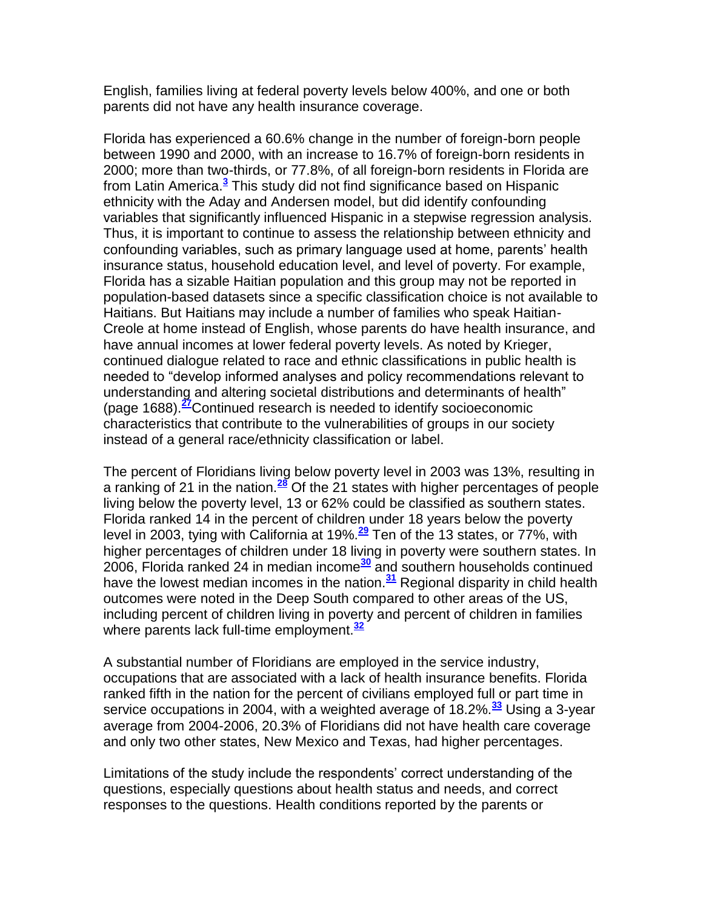English, families living at federal poverty levels below 400%, and one or both parents did not have any health insurance coverage.

Florida has experienced a 60.6% change in the number of foreign-born people between 1990 and 2000, with an increase to 16.7% of foreign-born residents in 2000; more than two-thirds, or 77.8%, of all foreign-born residents in Florida are from Latin America.**[3](http://snrs.org/publications/SOJNR_articles2/n)** This study did not find significance based on Hispanic ethnicity with the Aday and Andersen model, but did identify confounding variables that significantly influenced Hispanic in a stepwise regression analysis. Thus, it is important to continue to assess the relationship between ethnicity and confounding variables, such as primary language used at home, parents" health insurance status, household education level, and level of poverty. For example, Florida has a sizable Haitian population and this group may not be reported in population-based datasets since a specific classification choice is not available to Haitians. But Haitians may include a number of families who speak Haitian-Creole at home instead of English, whose parents do have health insurance, and have annual incomes at lower federal poverty levels. As noted by Krieger, continued dialogue related to race and ethnic classifications in public health is needed to "develop informed analyses and policy recommendations relevant to understanding and altering societal distributions and determinants of health" (page 1688).**[27](http://snrs.org/publications/SOJNR_articles2/n)**Continued research is needed to identify socioeconomic characteristics that contribute to the vulnerabilities of groups in our society instead of a general race/ethnicity classification or label.

The percent of Floridians living below poverty level in 2003 was 13%, resulting in a ranking of 21 in the nation.**[28](http://snrs.org/publications/SOJNR_articles2/n)** Of the 21 states with higher percentages of people living below the poverty level, 13 or 62% could be classified as southern states. Florida ranked 14 in the percent of children under 18 years below the poverty level in 2003, tying with California at 19%.**[29](http://snrs.org/publications/SOJNR_articles2/n)** Ten of the 13 states, or 77%, with higher percentages of children under 18 living in poverty were southern states. In 2006, Florida ranked 24 in median income**[30](http://snrs.org/publications/SOJNR_articles2/n)** and southern households continued have the lowest median incomes in the nation.**[31](http://snrs.org/publications/SOJNR_articles2/n)** Regional disparity in child health outcomes were noted in the Deep South compared to other areas of the US, including percent of children living in poverty and percent of children in families where parents lack full-time employment.**[32](http://snrs.org/publications/SOJNR_articles2/n)**

A substantial number of Floridians are employed in the service industry, occupations that are associated with a lack of health insurance benefits. Florida ranked fifth in the nation for the percent of civilians employed full or part time in service occupations in 2004, with a weighted average of 18.2%.**[33](http://snrs.org/publications/SOJNR_articles2/n)** Using a 3-year average from 2004-2006, 20.3% of Floridians did not have health care coverage and only two other states, New Mexico and Texas, had higher percentages.

Limitations of the study include the respondents" correct understanding of the questions, especially questions about health status and needs, and correct responses to the questions. Health conditions reported by the parents or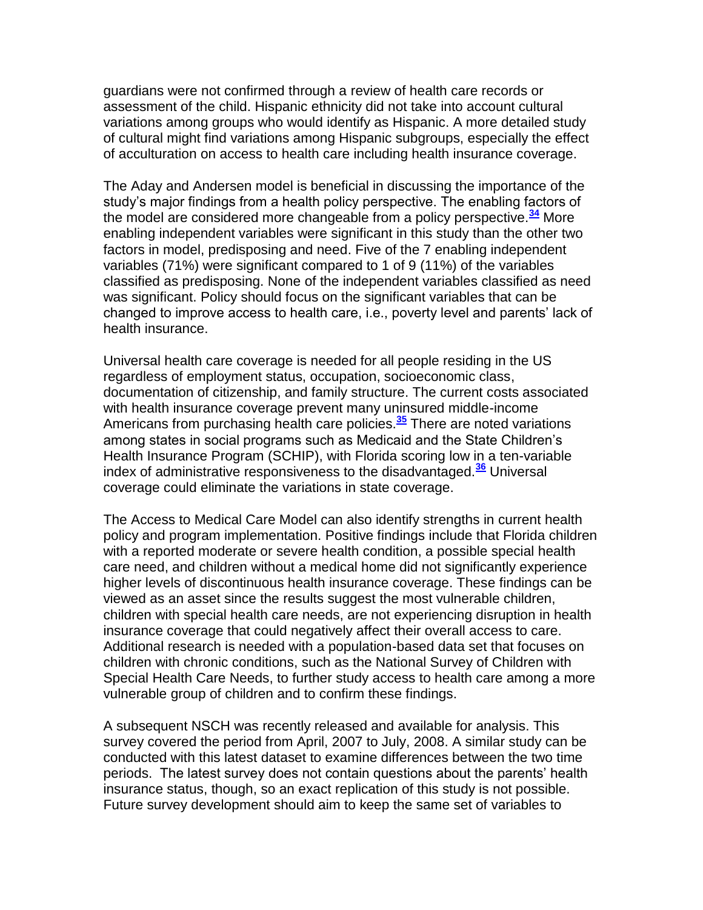guardians were not confirmed through a review of health care records or assessment of the child. Hispanic ethnicity did not take into account cultural variations among groups who would identify as Hispanic. A more detailed study of cultural might find variations among Hispanic subgroups, especially the effect of acculturation on access to health care including health insurance coverage.

The Aday and Andersen model is beneficial in discussing the importance of the study"s major findings from a health policy perspective. The enabling factors of the model are considered more changeable from a policy perspective.**[34](http://snrs.org/publications/SOJNR_articles2/n)** More enabling independent variables were significant in this study than the other two factors in model, predisposing and need. Five of the 7 enabling independent variables (71%) were significant compared to 1 of 9 (11%) of the variables classified as predisposing. None of the independent variables classified as need was significant. Policy should focus on the significant variables that can be changed to improve access to health care, i.e., poverty level and parents" lack of health insurance.

Universal health care coverage is needed for all people residing in the US regardless of employment status, occupation, socioeconomic class, documentation of citizenship, and family structure. The current costs associated with health insurance coverage prevent many uninsured middle-income Americans from purchasing health care policies.**[35](http://snrs.org/publications/SOJNR_articles2/n)** There are noted variations among states in social programs such as Medicaid and the State Children"s Health Insurance Program (SCHIP), with Florida scoring low in a ten-variable index of administrative responsiveness to the disadvantaged.**[36](http://snrs.org/publications/SOJNR_articles2/n)** Universal coverage could eliminate the variations in state coverage.

The Access to Medical Care Model can also identify strengths in current health policy and program implementation. Positive findings include that Florida children with a reported moderate or severe health condition, a possible special health care need, and children without a medical home did not significantly experience higher levels of discontinuous health insurance coverage. These findings can be viewed as an asset since the results suggest the most vulnerable children, children with special health care needs, are not experiencing disruption in health insurance coverage that could negatively affect their overall access to care. Additional research is needed with a population-based data set that focuses on children with chronic conditions, such as the National Survey of Children with Special Health Care Needs, to further study access to health care among a more vulnerable group of children and to confirm these findings.

A subsequent NSCH was recently released and available for analysis. This survey covered the period from April, 2007 to July, 2008. A similar study can be conducted with this latest dataset to examine differences between the two time periods. The latest survey does not contain questions about the parents" health insurance status, though, so an exact replication of this study is not possible. Future survey development should aim to keep the same set of variables to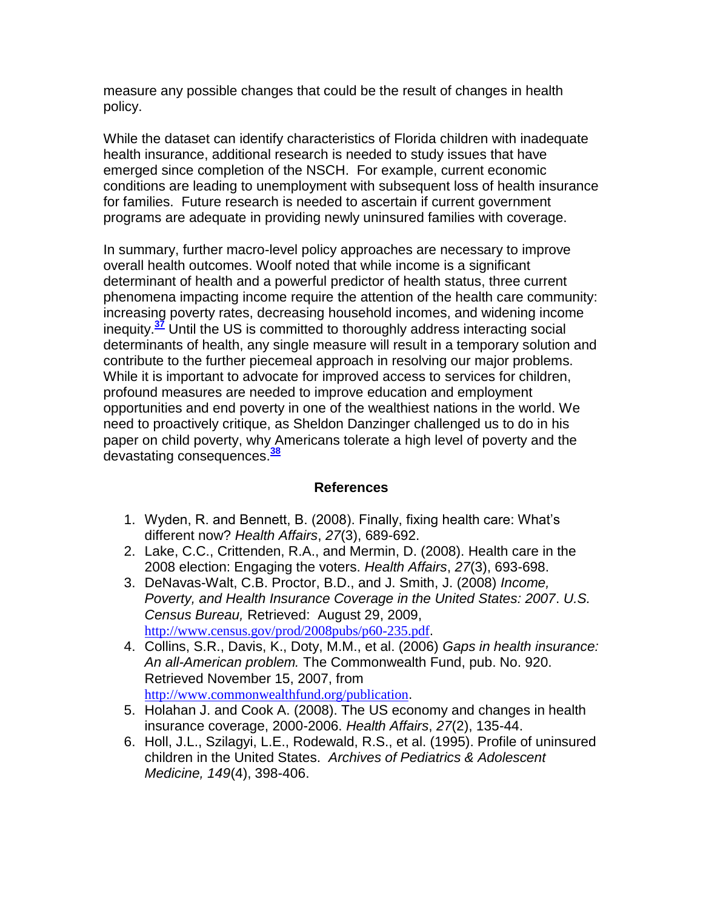measure any possible changes that could be the result of changes in health policy.

While the dataset can identify characteristics of Florida children with inadequate health insurance, additional research is needed to study issues that have emerged since completion of the NSCH. For example, current economic conditions are leading to unemployment with subsequent loss of health insurance for families. Future research is needed to ascertain if current government programs are adequate in providing newly uninsured families with coverage.

In summary, further macro-level policy approaches are necessary to improve overall health outcomes. Woolf noted that while income is a significant determinant of health and a powerful predictor of health status, three current phenomena impacting income require the attention of the health care community: increasing poverty rates, decreasing household incomes, and widening income inequity.**[37](http://snrs.org/publications/SOJNR_articles2/n)** Until the US is committed to thoroughly address interacting social determinants of health, any single measure will result in a temporary solution and contribute to the further piecemeal approach in resolving our major problems. While it is important to advocate for improved access to services for children, profound measures are needed to improve education and employment opportunities and end poverty in one of the wealthiest nations in the world. We need to proactively critique, as Sheldon Danzinger challenged us to do in his paper on child poverty, why Americans tolerate a high level of poverty and the devastating consequences.**[38](http://snrs.org/publications/SOJNR_articles2/n)**

## **References**

- 1. Wyden, R. and Bennett, B. (2008). Finally, fixing health care: What"s different now? *Health Affairs*, *27*(3), 689-692.
- 2. Lake, C.C., Crittenden, R.A., and Mermin, D. (2008). Health care in the 2008 election: Engaging the voters. *Health Affairs*, *27*(3), 693-698.
- 3. DeNavas-Walt, C.B. Proctor, B.D., and J. Smith, J. (2008) *Income, Poverty, and Health Insurance Coverage in the United States: 2007*. *U.S. Census Bureau,* Retrieved: August 29, 2009, <http://www.census.gov/prod/2008pubs/p60-235.pdf>.
- 4. Collins, S.R., Davis, K., Doty, M.M., et al. (2006) *Gaps in health insurance: An all-American problem.* The Commonwealth Fund, pub. No. 920. Retrieved November 15, 2007, from [http://www.commonwealthfund.org/publication](http://www.commonwealthfund.org/publications).
- 5. Holahan J. and Cook A. (2008). The US economy and changes in health insurance coverage, 2000-2006. *Health Affairs*, *27*(2), 135-44.
- 6. Holl, J.L., Szilagyi, L.E., Rodewald, R.S., et al. (1995). Profile of uninsured children in the United States. *Archives of Pediatrics & Adolescent Medicine, 149*(4), 398-406.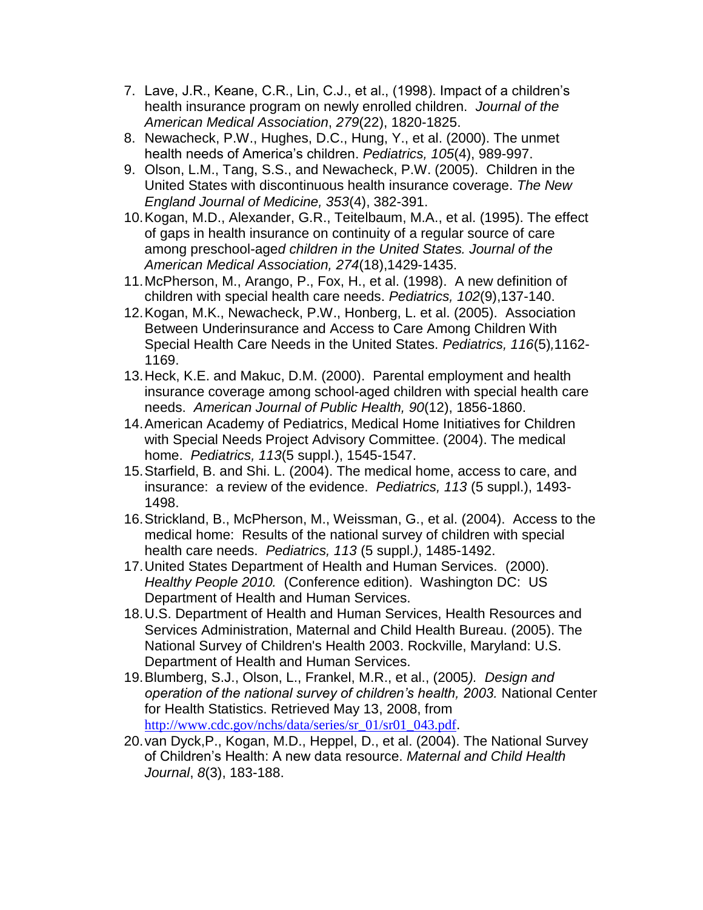- 7. Lave, J.R., Keane, C.R., Lin, C.J., et al., (1998). Impact of a children"s health insurance program on newly enrolled children. *Journal of the American Medical Association*, *279*(22), 1820-1825.
- 8. Newacheck, P.W., Hughes, D.C., Hung, Y., et al. (2000). The unmet health needs of America"s children. *Pediatrics, 105*(4), 989-997.
- 9. Olson, L.M., Tang, S.S., and Newacheck, P.W. (2005). Children in the United States with discontinuous health insurance coverage. *The New England Journal of Medicine, 353*(4), 382-391.
- 10.Kogan, M.D., Alexander, G.R., Teitelbaum, M.A., et al. (1995). The effect of gaps in health insurance on continuity of a regular source of care among preschool-age*d children in the United States. Journal of the American Medical Association, 274*(18),1429-1435.
- 11.McPherson, M., Arango, P., Fox, H., et al. (1998). A new definition of children with special health care needs. *Pediatrics, 102*(9),137-140.
- 12.Kogan, M.K., Newacheck, P.W., Honberg, L. et al. (2005). Association Between Underinsurance and Access to Care Among Children With Special Health Care Needs in the United States. *Pediatrics, 116*(5)*,*1162- 1169.
- 13.Heck, K.E. and Makuc, D.M. (2000). Parental employment and health insurance coverage among school-aged children with special health care needs. *American Journal of Public Health, 90*(12), 1856-1860.
- 14.American Academy of Pediatrics, Medical Home Initiatives for Children with Special Needs Project Advisory Committee. (2004). The medical home. *Pediatrics, 113*(5 suppl.), 1545-1547.
- 15.Starfield, B. and Shi. L. (2004). The medical home, access to care, and insurance: a review of the evidence. *Pediatrics, 113* (5 suppl.), 1493- 1498.
- 16.Strickland, B., McPherson, M., Weissman, G., et al. (2004). Access to the medical home: Results of the national survey of children with special health care needs. *Pediatrics, 113* (5 suppl.*)*, 1485-1492.
- 17.United States Department of Health and Human Services. (2000). *Healthy People 2010.* (Conference edition). Washington DC: US Department of Health and Human Services.
- 18.U.S. Department of Health and Human Services, Health Resources and Services Administration, Maternal and Child Health Bureau. (2005). The National Survey of Children's Health 2003. Rockville, Maryland: U.S. Department of Health and Human Services.
- 19.Blumberg, S.J., Olson, L., Frankel, M.R., et al., (2005*). Design and operation of the national survey of children's health, 2003.* National Center for Health Statistics. Retrieved May 13, 2008, from [http://www.cdc.gov/nchs/data/series/sr\\_01/sr01\\_043.pdf](http://www.cdc.gov/nchs/data/series/sr_01/sr01_043.pdf).
- 20.van Dyck,P., Kogan, M.D., Heppel, D., et al. (2004). The National Survey of Children"s Health: A new data resource. *Maternal and Child Health Journal*, *8*(3), 183-188.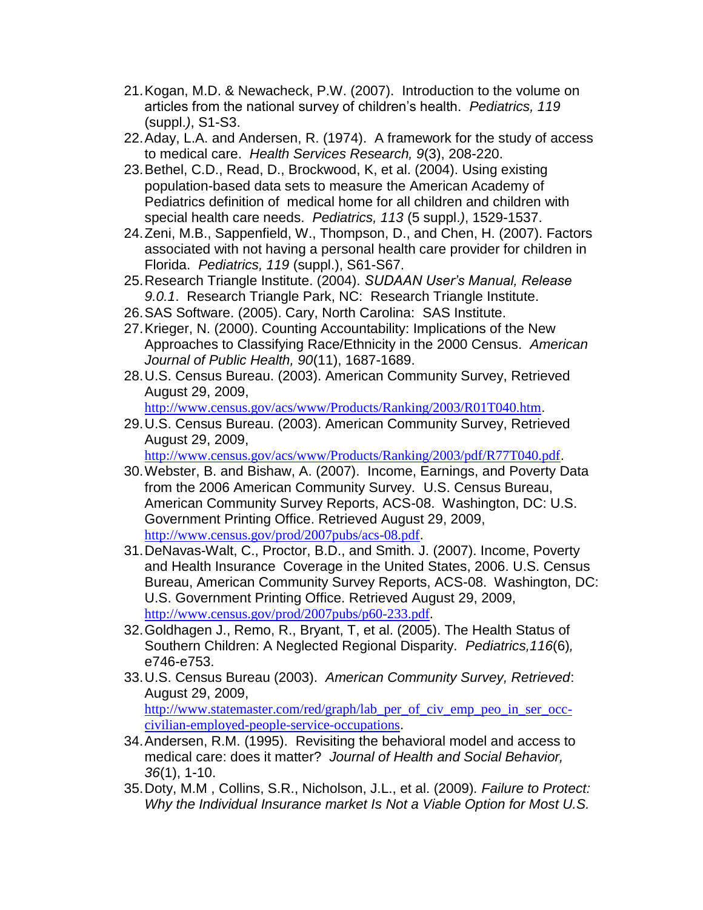- 21.Kogan, M.D. & Newacheck, P.W. (2007). Introduction to the volume on articles from the national survey of children"s health. *Pediatrics, 119*  (suppl.*)*, S1-S3.
- 22.Aday, L.A. and Andersen, R. (1974). A framework for the study of access to medical care. *Health Services Research, 9*(3), 208-220.
- 23.Bethel, C.D., Read, D., Brockwood, K, et al. (2004). Using existing population-based data sets to measure the American Academy of Pediatrics definition of medical home for all children and children with special health care needs. *Pediatrics, 113* (5 suppl.*)*, 1529-1537.
- 24.Zeni, M.B., Sappenfield, W., Thompson, D., and Chen, H. (2007). Factors associated with not having a personal health care provider for children in Florida. *Pediatrics, 119* (suppl.), S61-S67.
- 25.Research Triangle Institute. (2004). *SUDAAN User's Manual, Release 9.0.1*. Research Triangle Park, NC: Research Triangle Institute.
- 26.SAS Software. (2005). Cary, North Carolina: SAS Institute.
- 27.Krieger, N. (2000). Counting Accountability: Implications of the New Approaches to Classifying Race/Ethnicity in the 2000 Census. *American Journal of Public Health, 90*(11), 1687-1689.
- 28.U.S. Census Bureau. (2003). American Community Survey, Retrieved August 29, 2009,

<http://www.census.gov/acs/www/Products/Ranking/2003/R01T040.htm>.

29.U.S. Census Bureau. (2003). American Community Survey, Retrieved August 29, 2009,

<http://www.census.gov/acs/www/Products/Ranking/2003/pdf/R77T040.pdf>.

- 30.Webster, B. and Bishaw, A. (2007). Income, Earnings, and Poverty Data from the 2006 American Community Survey. U.S. Census Bureau, American Community Survey Reports, ACS-08. Washington, DC: U.S. Government Printing Office. Retrieved August 29, 2009, <http://www.census.gov/prod/2007pubs/acs-08.pdf>.
- 31.DeNavas-Walt, C., Proctor, B.D., and Smith. J. (2007). Income, Poverty and Health Insurance Coverage in the United States, 2006. U.S. Census Bureau, American Community Survey Reports, ACS-08. Washington, DC: U.S. Government Printing Office. Retrieved August 29, 2009, <http://www.census.gov/prod/2007pubs/p60-233.pdf>.
- 32.Goldhagen J., Remo, R., Bryant, T, et al. (2005). The Health Status of Southern Children: A Neglected Regional Disparity. *Pediatrics,116*(6)*,*  e746-e753.
- 33.U.S. Census Bureau (2003). *American Community Survey, Retrieved*: August 29, 2009, [http://www.statemaster.com/red/graph/lab\\_per\\_of\\_civ\\_emp\\_peo\\_in\\_ser\\_occ](http://www.statemaster.com/red/graph/lab_per_of_civ_emp_peo_in_ser_occ-civilian-employed-people-service-occupations)[civilian-employed-people-service-occupations](http://www.statemaster.com/red/graph/lab_per_of_civ_emp_peo_in_ser_occ-civilian-employed-people-service-occupations).
- 34.Andersen, R.M. (1995). Revisiting the behavioral model and access to medical care: does it matter? *Journal of Health and Social Behavior, 36*(1), 1-10.
- 35.Doty, M.M , Collins, S.R., Nicholson, J.L., et al. (2009)*. Failure to Protect: Why the Individual Insurance market Is Not a Viable Option for Most U.S.*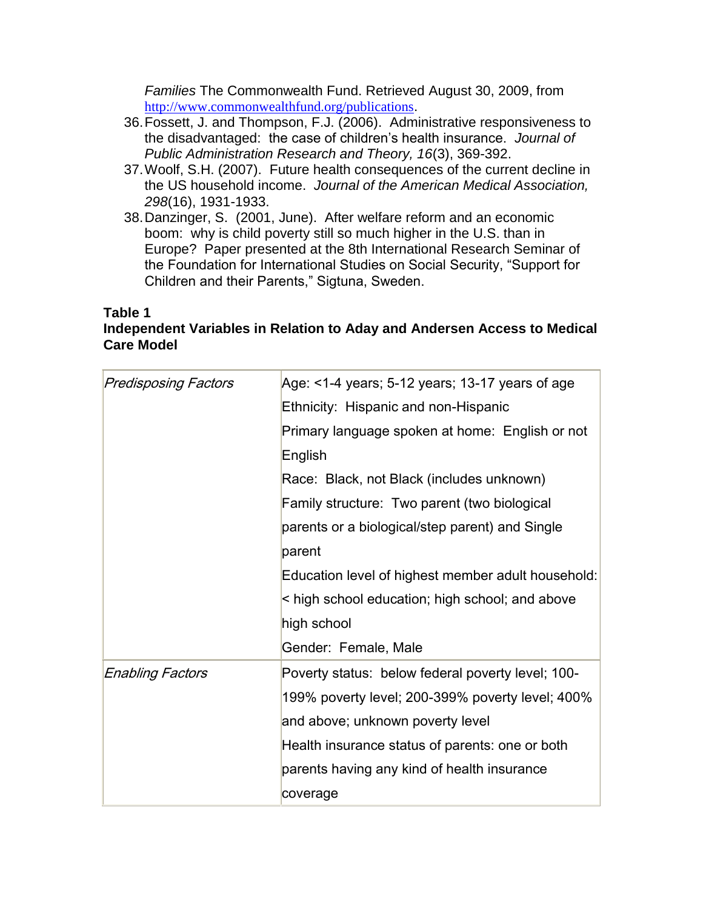*Families* The Commonwealth Fund. Retrieved August 30, 2009, from <http://www.commonwealthfund.org/publications>.

- 36.Fossett, J. and Thompson, F.J. (2006). Administrative responsiveness to the disadvantaged: the case of children"s health insurance. *Journal of Public Administration Research and Theory, 16*(3), 369-392.
- 37.Woolf, S.H. (2007). Future health consequences of the current decline in the US household income. *Journal of the American Medical Association, 298*(16), 1931-1933.
- 38.Danzinger, S. (2001, June). After welfare reform and an economic boom: why is child poverty still so much higher in the U.S. than in Europe? Paper presented at the 8th International Research Seminar of the Foundation for International Studies on Social Security, "Support for Children and their Parents," Sigtuna, Sweden.

#### **Table 1 Independent Variables in Relation to Aday and Andersen Access to Medical Care Model**

| <b>Predisposing Factors</b> | Age: <1-4 years; 5-12 years; 13-17 years of age    |  |  |  |  |
|-----------------------------|----------------------------------------------------|--|--|--|--|
|                             | Ethnicity: Hispanic and non-Hispanic               |  |  |  |  |
|                             | Primary language spoken at home: English or not    |  |  |  |  |
|                             | English                                            |  |  |  |  |
|                             | Race: Black, not Black (includes unknown)          |  |  |  |  |
|                             | Family structure: Two parent (two biological       |  |  |  |  |
|                             | parents or a biological/step parent) and Single    |  |  |  |  |
|                             | parent                                             |  |  |  |  |
|                             | Education level of highest member adult household: |  |  |  |  |
|                             | high school education; high school; and above      |  |  |  |  |
|                             | high school                                        |  |  |  |  |
|                             | Gender: Female, Male                               |  |  |  |  |
| <b>Enabling Factors</b>     | Poverty status: below federal poverty level; 100-  |  |  |  |  |
|                             | 199% poverty level; 200-399% poverty level; 400%   |  |  |  |  |
|                             | and above; unknown poverty level                   |  |  |  |  |
|                             | Health insurance status of parents: one or both    |  |  |  |  |
|                             | parents having any kind of health insurance        |  |  |  |  |
|                             | coverage                                           |  |  |  |  |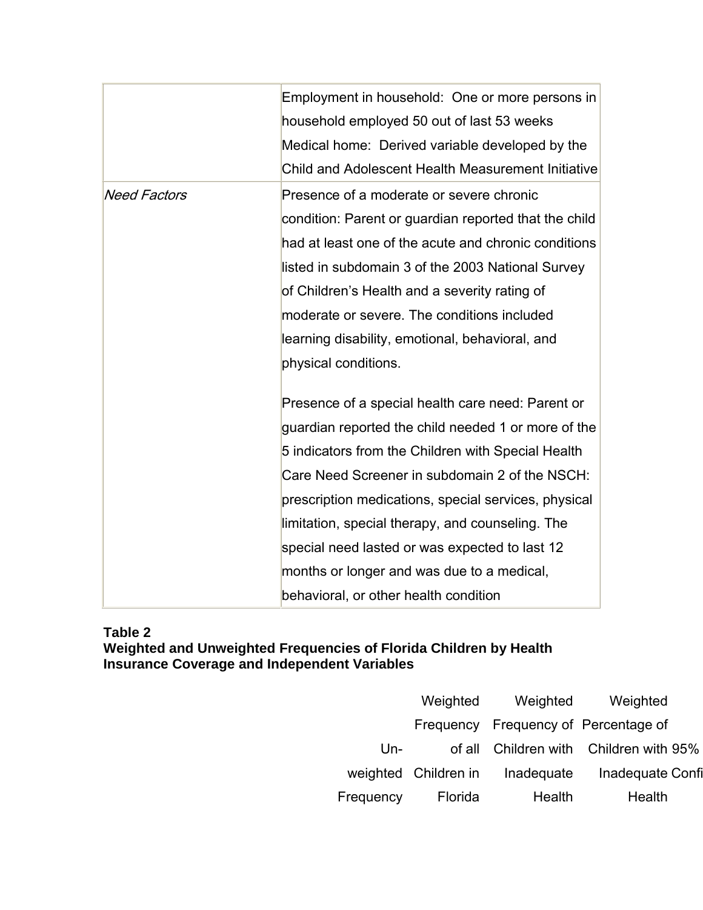|                     | Employment in household: One or more persons in       |  |  |  |  |  |
|---------------------|-------------------------------------------------------|--|--|--|--|--|
|                     | household employed 50 out of last 53 weeks            |  |  |  |  |  |
|                     | Medical home: Derived variable developed by the       |  |  |  |  |  |
|                     | Child and Adolescent Health Measurement Initiative    |  |  |  |  |  |
| <b>Need Factors</b> | Presence of a moderate or severe chronic              |  |  |  |  |  |
|                     | condition: Parent or guardian reported that the child |  |  |  |  |  |
|                     | had at least one of the acute and chronic conditions  |  |  |  |  |  |
|                     | listed in subdomain 3 of the 2003 National Survey     |  |  |  |  |  |
|                     | of Children's Health and a severity rating of         |  |  |  |  |  |
|                     | moderate or severe. The conditions included           |  |  |  |  |  |
|                     | learning disability, emotional, behavioral, and       |  |  |  |  |  |
|                     | physical conditions.                                  |  |  |  |  |  |
|                     |                                                       |  |  |  |  |  |
|                     | Presence of a special health care need: Parent or     |  |  |  |  |  |
|                     | guardian reported the child needed 1 or more of the   |  |  |  |  |  |
|                     | 5 indicators from the Children with Special Health    |  |  |  |  |  |
|                     | Care Need Screener in subdomain 2 of the NSCH:        |  |  |  |  |  |
|                     | prescription medications, special services, physical  |  |  |  |  |  |
|                     | limitation, special therapy, and counseling. The      |  |  |  |  |  |
|                     | special need lasted or was expected to last 12        |  |  |  |  |  |
|                     | months or longer and was due to a medical,            |  |  |  |  |  |
|                     | behavioral, or other health condition                 |  |  |  |  |  |

### **Table 2 Weighted and Unweighted Frequencies of Florida Children by Health Insurance Coverage and Independent Variables**

|           | Weighted             | Weighted   | Weighted                             |
|-----------|----------------------|------------|--------------------------------------|
|           |                      |            | Frequency Frequency of Percentage of |
| Un-       | of all               |            | Children with Children with 95%      |
|           | weighted Children in | Inadequate | Inadequate Confi                     |
| Frequency | Florida              | Health     | Health                               |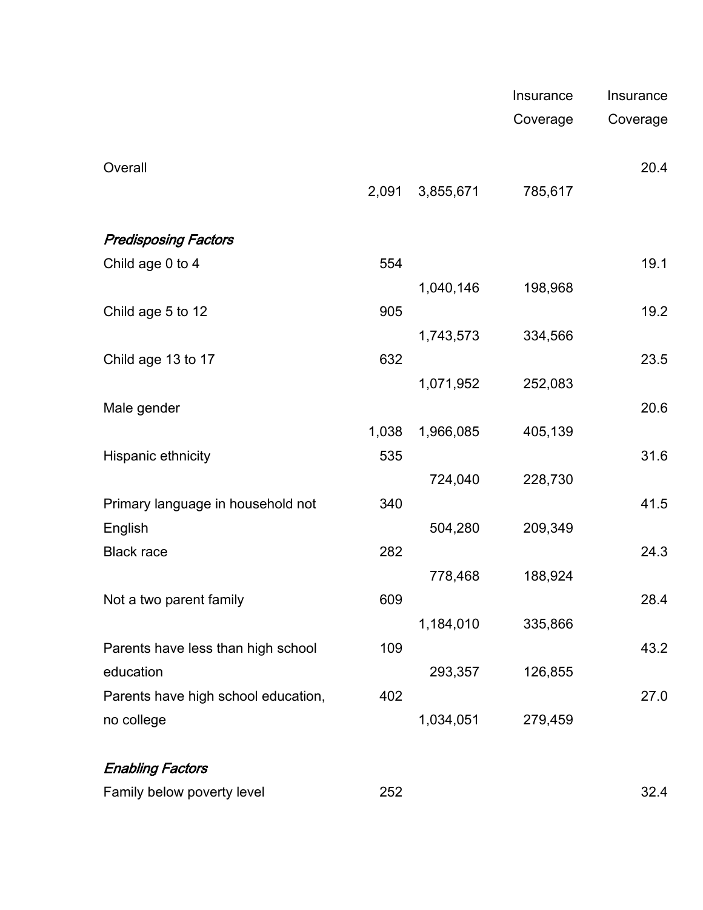|                                     |       |           | Insurance | Insurance |
|-------------------------------------|-------|-----------|-----------|-----------|
|                                     |       |           | Coverage  | Coverage  |
|                                     |       |           |           |           |
| Overall                             | 2,091 | 3,855,671 | 785,617   | 20.4      |
|                                     |       |           |           |           |
| <b>Predisposing Factors</b>         |       |           |           |           |
| Child age 0 to 4                    | 554   |           |           | 19.1      |
|                                     |       | 1,040,146 | 198,968   |           |
| Child age 5 to 12                   | 905   |           |           | 19.2      |
|                                     |       | 1,743,573 | 334,566   |           |
| Child age 13 to 17                  | 632   |           |           | 23.5      |
|                                     |       | 1,071,952 | 252,083   |           |
| Male gender                         | 1,038 | 1,966,085 | 405,139   | 20.6      |
| Hispanic ethnicity                  | 535   |           |           | 31.6      |
|                                     |       | 724,040   | 228,730   |           |
| Primary language in household not   | 340   |           |           | 41.5      |
| English                             |       | 504,280   | 209,349   |           |
| <b>Black race</b>                   | 282   |           |           | 24.3      |
|                                     |       | 778,468   | 188,924   |           |
| Not a two parent family             | 609   |           |           | 28.4      |
|                                     |       | 1,184,010 | 335,866   |           |
| Parents have less than high school  | 109   |           |           | 43.2      |
| education                           |       | 293,357   | 126,855   |           |
| Parents have high school education, | 402   |           |           | 27.0      |
| no college                          |       | 1,034,051 | 279,459   |           |
|                                     |       |           |           |           |

# Enabling Factors

|                            |     | $\sim$                   |
|----------------------------|-----|--------------------------|
| Family below poverty level | つらつ | $\overline{\phantom{a}}$ |
|                            | ᇰᇰᄼ | ےت                       |
|                            |     |                          |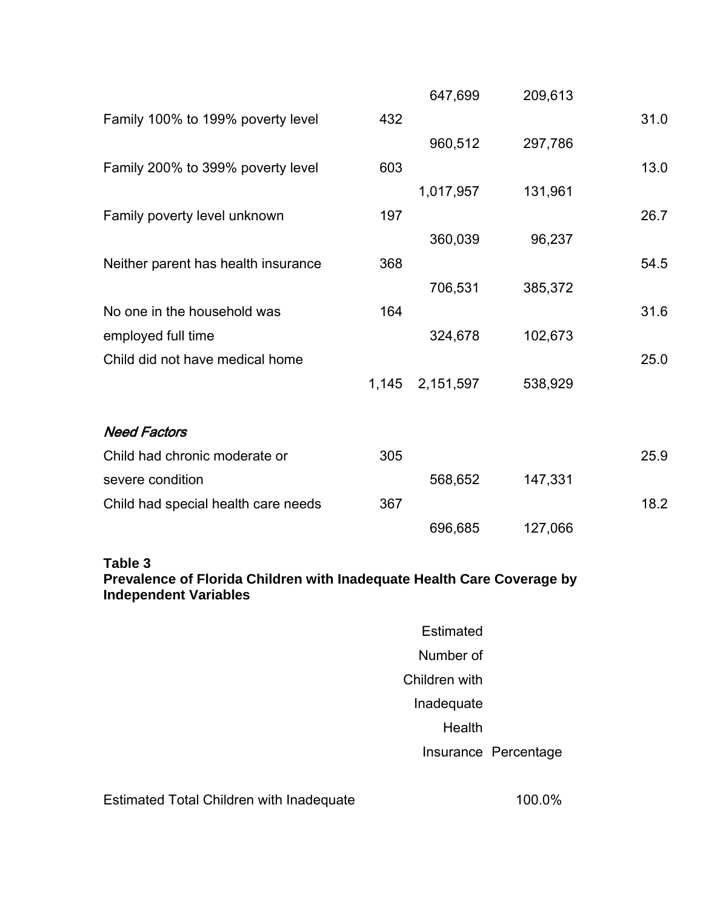|                                     |       | 647,699   | 209,613 |      |
|-------------------------------------|-------|-----------|---------|------|
| Family 100% to 199% poverty level   | 432   |           |         | 31.0 |
|                                     |       | 960,512   | 297,786 |      |
| Family 200% to 399% poverty level   | 603   |           |         | 13.0 |
|                                     |       | 1,017,957 | 131,961 |      |
| Family poverty level unknown        | 197   |           |         | 26.7 |
|                                     |       | 360,039   | 96,237  |      |
| Neither parent has health insurance | 368   |           |         | 54.5 |
|                                     |       | 706,531   | 385,372 |      |
| No one in the household was         | 164   |           |         | 31.6 |
| employed full time                  |       | 324,678   | 102,673 |      |
| Child did not have medical home     |       |           |         | 25.0 |
|                                     | 1,145 | 2,151,597 | 538,929 |      |
|                                     |       |           |         |      |
| <b>Need Factors</b>                 |       |           |         |      |
| Child had chronic moderate or       | 305   |           |         | 25.9 |
| severe condition                    |       | 568,652   | 147,331 |      |
| Child had special health care needs | 367   |           |         | 18.2 |
|                                     |       | 696,685   | 127,066 |      |
| Table 3                             |       |           |         |      |

**Prevalence of Florida Children with Inadequate Health Care Coverage by Independent Variables**

| Fstimated     |                      |
|---------------|----------------------|
| Number of     |                      |
| Children with |                      |
| Inadequate    |                      |
| Health        |                      |
|               | Insurance Percentage |
|               |                      |

Estimated Total Children with Inadequate 100.0%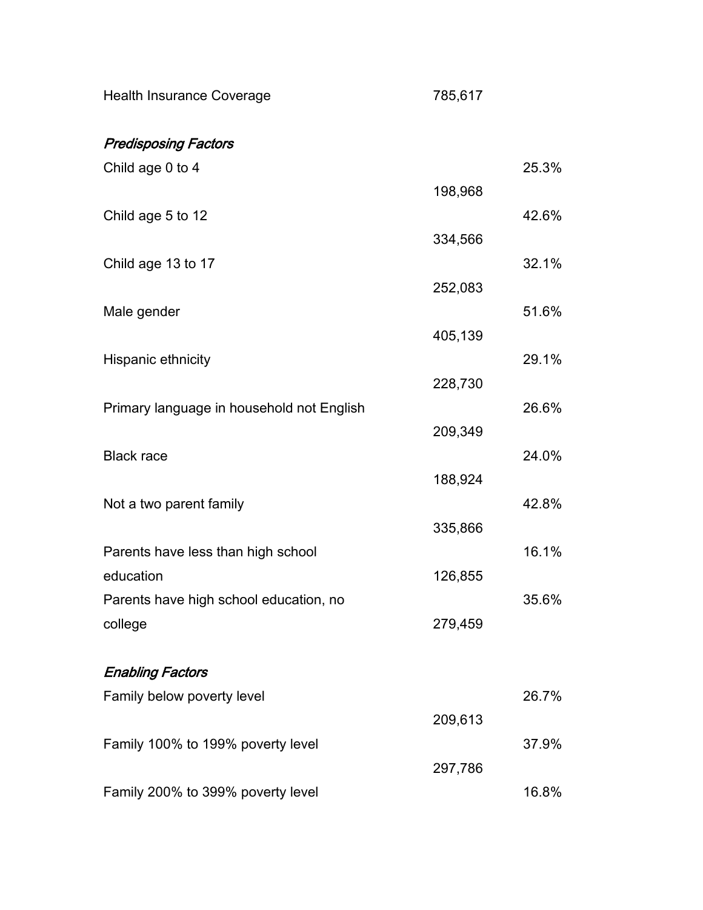| <b>Health Insurance Coverage</b>          | 785,617 |       |
|-------------------------------------------|---------|-------|
| <b>Predisposing Factors</b>               |         |       |
| Child age 0 to 4                          |         | 25.3% |
|                                           | 198,968 |       |
| Child age 5 to 12                         |         | 42.6% |
|                                           | 334,566 |       |
| Child age 13 to 17                        |         | 32.1% |
|                                           | 252,083 |       |
| Male gender                               | 405,139 | 51.6% |
| Hispanic ethnicity                        |         | 29.1% |
|                                           | 228,730 |       |
| Primary language in household not English |         | 26.6% |
|                                           | 209,349 |       |
| <b>Black race</b>                         |         | 24.0% |
|                                           | 188,924 |       |
| Not a two parent family                   |         | 42.8% |
|                                           | 335,866 |       |
| Parents have less than high school        |         | 16.1% |
| education                                 | 126,855 |       |
| Parents have high school education, no    |         | 35.6% |
| college                                   | 279,459 |       |
| <b>Enabling Factors</b>                   |         |       |
| Family below poverty level                |         | 26.7% |
|                                           | 209,613 |       |
| Family 100% to 199% poverty level         |         | 37.9% |
|                                           | 297,786 |       |
| Family 200% to 399% poverty level         |         | 16.8% |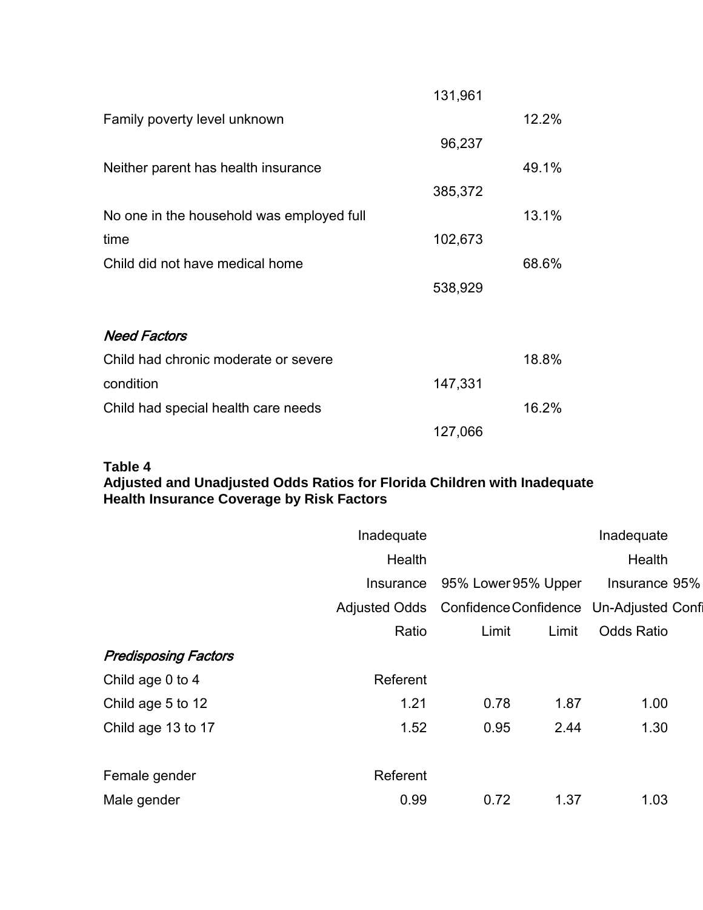|                                           | 131,961 |       |
|-------------------------------------------|---------|-------|
| Family poverty level unknown              |         | 12.2% |
|                                           | 96,237  |       |
| Neither parent has health insurance       |         | 49.1% |
|                                           | 385,372 |       |
| No one in the household was employed full |         | 13.1% |
| time                                      | 102,673 |       |
| Child did not have medical home           |         | 68.6% |
|                                           | 538,929 |       |
| <b>Need Factors</b>                       |         |       |
| Child had chronic moderate or severe      |         | 18.8% |
| condition                                 | 147,331 |       |
| Child had special health care needs       |         | 16.2% |
|                                           | 127,066 |       |

## **Table 4**

#### **Adjusted and Unadjusted Odds Ratios for Florida Children with Inadequate Health Insurance Coverage by Risk Factors**

|                             | Inadequate           |                     | Inadequate |                                        |
|-----------------------------|----------------------|---------------------|------------|----------------------------------------|
|                             | Health               |                     |            | Health                                 |
|                             | Insurance            | 95% Lower 95% Upper |            | Insurance 95%                          |
|                             | <b>Adjusted Odds</b> |                     |            | Confidence Confidence Un-Adjusted Conf |
|                             | Ratio                | Limit               | Limit      | <b>Odds Ratio</b>                      |
| <b>Predisposing Factors</b> |                      |                     |            |                                        |
| Child age 0 to 4            | Referent             |                     |            |                                        |
| Child age 5 to 12           | 1.21                 | 0.78                | 1.87       | 1.00                                   |
| Child age 13 to 17          | 1.52                 | 0.95                | 2.44       | 1.30                                   |
|                             |                      |                     |            |                                        |
| Female gender               | Referent             |                     |            |                                        |
| Male gender                 | 0.99                 | 0.72                | 1.37       | 1.03                                   |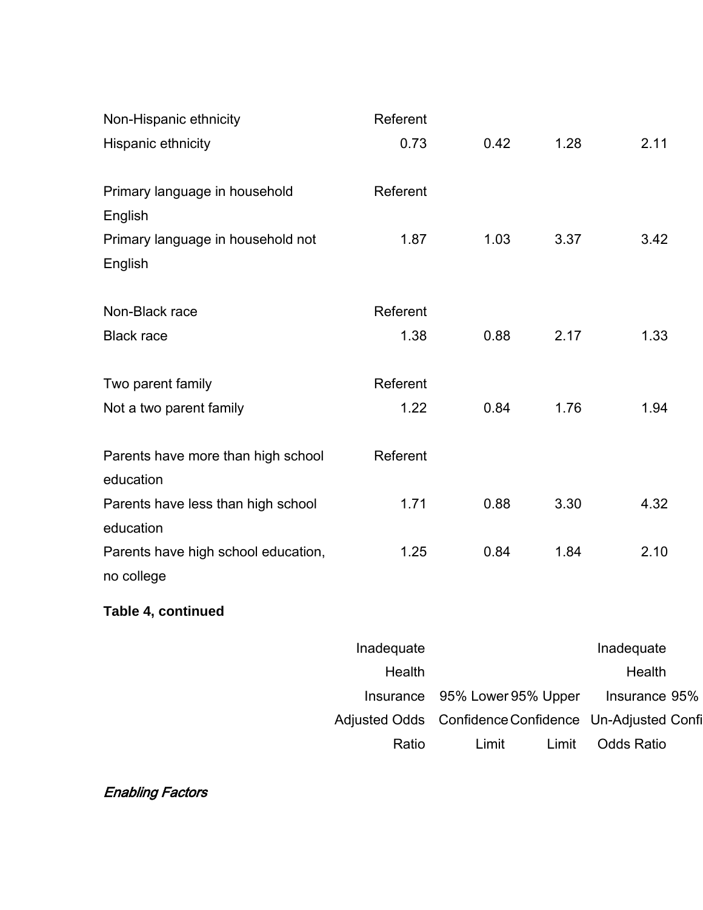| Non-Hispanic ethnicity                            | Referent |      |      |      |
|---------------------------------------------------|----------|------|------|------|
| Hispanic ethnicity                                | 0.73     | 0.42 | 1.28 | 2.11 |
| Primary language in household<br>English          | Referent |      |      |      |
| Primary language in household not<br>English      | 1.87     | 1.03 | 3.37 | 3.42 |
| Non-Black race                                    | Referent |      |      |      |
| <b>Black race</b>                                 | 1.38     | 0.88 | 2.17 | 1.33 |
| Two parent family                                 | Referent |      |      |      |
| Not a two parent family                           | 1.22     | 0.84 | 1.76 | 1.94 |
| Parents have more than high school<br>education   | Referent |      |      |      |
| Parents have less than high school<br>education   | 1.71     | 0.88 | 3.30 | 4.32 |
| Parents have high school education,<br>no college | 1.25     | 0.84 | 1.84 | 2.10 |
| Table 4, continued                                |          |      |      |      |
|                                                   |          |      |      |      |

| Inadequate                                     |        |       | Inadequate                                            |
|------------------------------------------------|--------|-------|-------------------------------------------------------|
| Health                                         |        |       | Health                                                |
| Insurance 95% Lower 95% Upper<br>Insurance 95% |        |       |                                                       |
|                                                |        |       | Adjusted Odds Confidence Confidence Un-Adjusted Confi |
| <b>Odds Ratio</b>                              | I imit | Limit | Ratio                                                 |

```
Enabling Factors
```